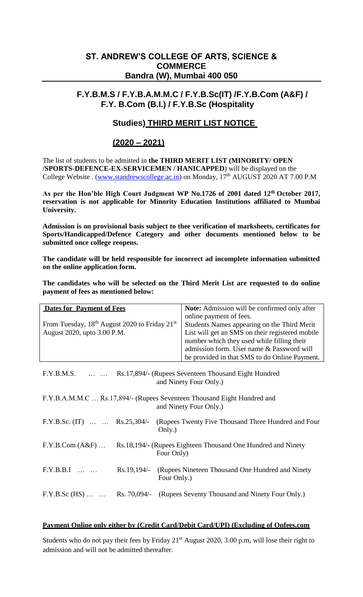# **ST. ANDREW'S COLLEGE OF ARTS, SCIENCE & COMMERCE Bandra (W), Mumbai 400 050**

## **F.Y.B.M.S / F.Y.B.A.M.M.C / F.Y.B.Sc(IT) /F.Y.B.Com (A&F) / F.Y. B.Com (B.I.) / F.Y.B.Sc (Hospitality**

## **Studies) THIRD MERIT LIST NOTICE**

## **(2020 – 2021)**

The list of students to be admitted in **the THIRD MERIT LIST (MINORITY/ OPEN /SPORTS-DEFENCE-EX-SERVICEMEN / HANICAPPED**) will be displayed on the College Website . [\(www.standrewscollege.ac.in\)](http://www.standrewscollege.ac.in/) on Monday, 17<sup>th</sup> AUGUST 2020 AT 7.00 P.M

**As per the Hon'ble High Court Judgment WP No.1726 of 2001 dated 12th October 2017, reservation is not applicable for Minority Education Institutions affiliated to Mumbai University.**

**Admission is on provisional basis subject to thee verification of marksheets, certificates for Sports/Handicapped/Defence Category and other documents mentioned below to be submitted once college reopens.**

**The candidate will be held responsible for incorrect ad incomplete information submitted on the online application form.**

**The candidates who will be selected on the Third Merit List are requested to do online payment of fees as mentioned below:**

| <b>Dates for Payment of Fees</b>                                                        |             |             | Note: Admission will be confirmed only after                 |
|-----------------------------------------------------------------------------------------|-------------|-------------|--------------------------------------------------------------|
|                                                                                         |             |             | online payment of fees.                                      |
| From Tuesday, 18 <sup>th</sup> August 2020 to Friday 21 <sup>st</sup>                   |             |             | Students Names appearing on the Third Merit                  |
| August 2020, upto 3.00 P.M.                                                             |             |             | List will get an SMS on their registered mobile              |
|                                                                                         |             |             | number which they used while filling their                   |
|                                                                                         |             |             | admission form. User name & Password will                    |
|                                                                                         |             |             | be provided in that SMS to do Online Payment.                |
|                                                                                         |             |             |                                                              |
| F.Y.B.M.S.   Rs.17,894/- (Rupees Seventeen Thousand Eight Hundred                       |             |             |                                                              |
| and Ninety Four Only.)                                                                  |             |             |                                                              |
|                                                                                         |             |             |                                                              |
| F.Y.B.A.M.M.C  Rs.17,894/- (Rupees Seventeen Thousand Eight Hundred and                 |             |             |                                                              |
| and Ninety Four Only.)                                                                  |             |             |                                                              |
| F.Y.B.Sc. (IT)   Rs.25,304/-                                                            |             |             | (Rupees Twenty Five Thousand Three Hundred and Four)         |
|                                                                                         |             | Only.)      |                                                              |
|                                                                                         |             |             |                                                              |
| $F.Y.B.Com(A&F) \ldots$<br>Rs.18,194/- (Rupees Eighteen Thousand One Hundred and Ninety |             |             |                                                              |
|                                                                                         |             | Four Only)  |                                                              |
|                                                                                         |             |             |                                                              |
| $F.Y.B.B.I$                                                                             | Rs.19,194/- |             | (Rupees Nineteen Thousand One Hundred and Ninety             |
|                                                                                         |             | Four Only.) |                                                              |
|                                                                                         |             |             |                                                              |
| $F.Y.B.Sc (HS) \dots \dots$                                                             |             |             | Rs. 70,094/- (Rupees Seventy Thousand and Ninety Four Only.) |

#### **Payment Online only either by (Credit Card/Debit Card/UPI) (Excluding of Onfees.com**

Students who do not pay their fees by Friday 21<sup>st</sup> August 2020, 3.00 p.m, will lose their right to admission and will not be admitted thereafter.